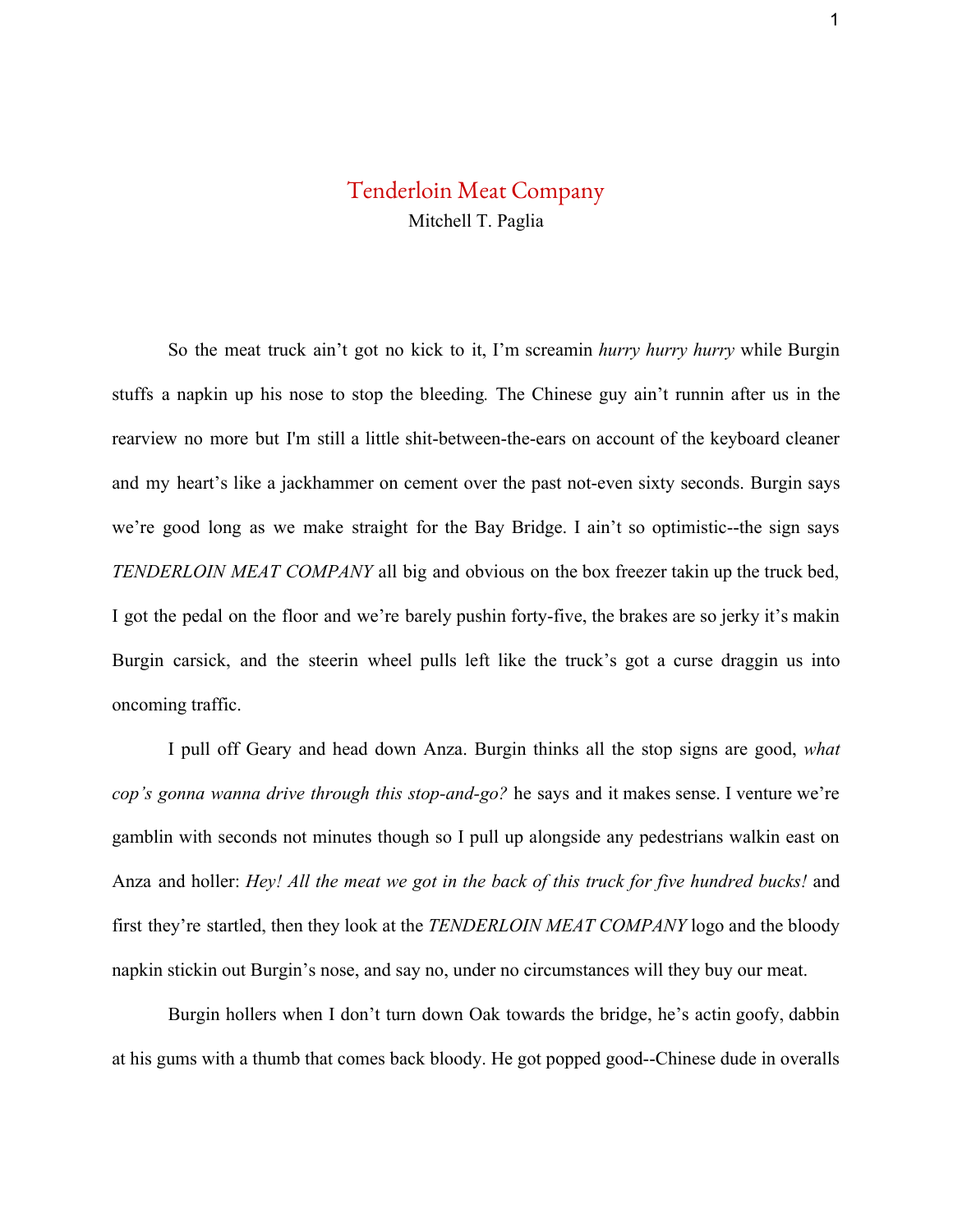## Tenderloin Meat Company Mitchell T. Paglia

So the meat truck ain't got no kick to it, I'm screamin *hurry hurry hurry* while Burgin stuffs a napkin up his nose to stop the bleeding*.* The Chinese guy ain't runnin after us in the rearview no more but I'm still a little shit-between-the-ears on account of the keyboard cleaner and my heart's like a jackhammer on cement over the past not-even sixty seconds. Burgin says we're good long as we make straight for the Bay Bridge. I ain't so optimistic--the sign says *TENDERLOIN MEAT COMPANY* all big and obvious on the box freezer takin up the truck bed, I got the pedal on the floor and we're barely pushin forty-five, the brakes are so jerky it's makin Burgin carsick, and the steerin wheel pulls left like the truck's got a curse draggin us into oncoming traffic.

I pull off Geary and head down Anza. Burgin thinks all the stop signs are good, *what cop's gonna wanna drive through this stop-and-go?* he says and it makes sense. I venture we're gamblin with seconds not minutes though so I pull up alongside any pedestrians walkin east on Anza and holler: *Hey! All the meat we got in the back of this truck for five hundred bucks!* and first they're startled, then they look at the *TENDERLOIN MEAT COMPANY* logo and the bloody napkin stickin out Burgin's nose, and say no, under no circumstances will they buy our meat.

Burgin hollers when I don't turn down Oak towards the bridge, he's actin goofy, dabbin at his gums with a thumb that comes back bloody. He got popped good--Chinese dude in overalls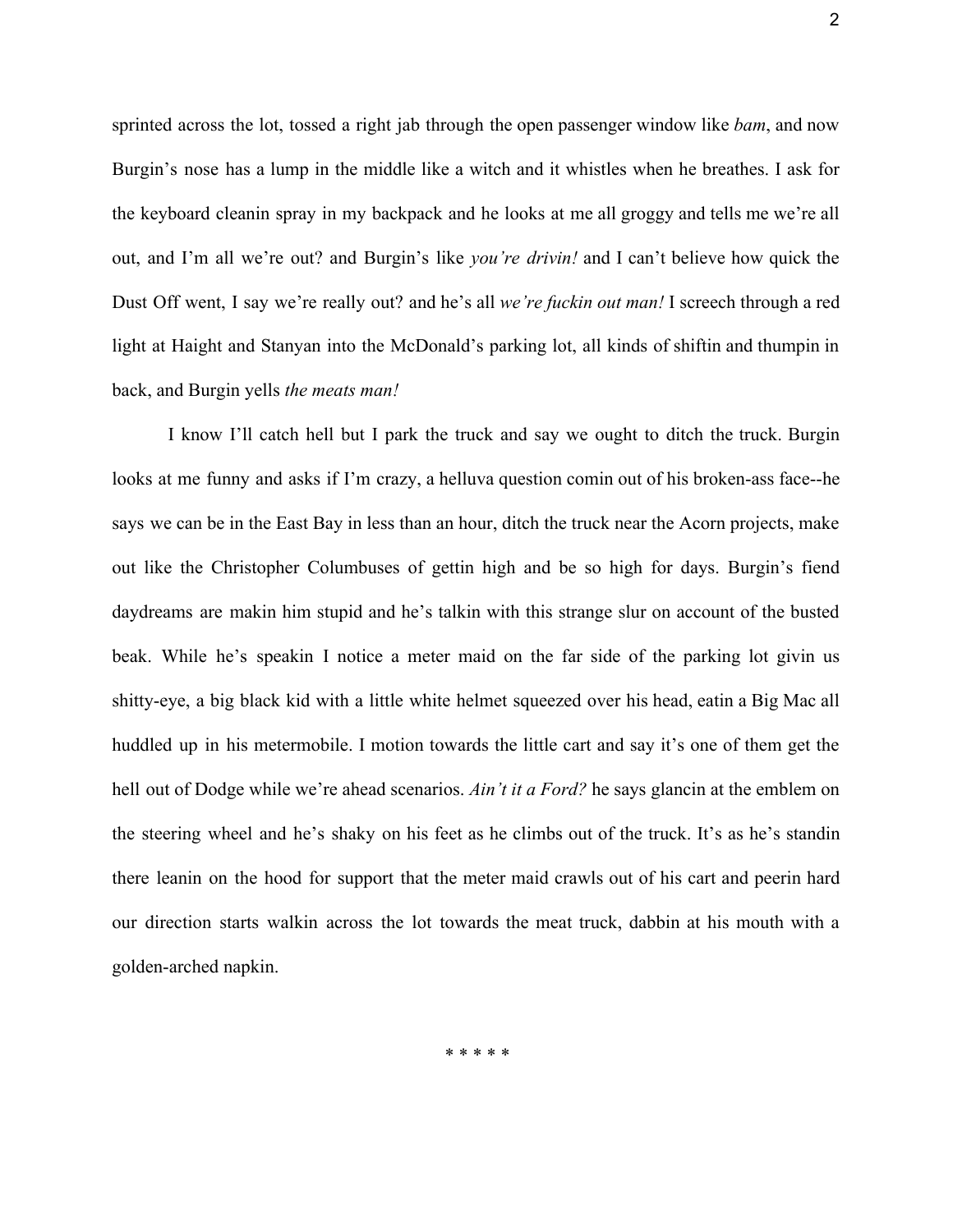sprinted across the lot, tossed a right jab through the open passenger window like *bam*, and now Burgin's nose has a lump in the middle like a witch and it whistles when he breathes. I ask for the keyboard cleanin spray in my backpack and he looks at me all groggy and tells me we're all out, and I'm all we're out? and Burgin's like *you're drivin!* and I can't believe how quick the Dust Off went, I say we're really out? and he's all *we're fuckin out man!* I screech through a red light at Haight and Stanyan into the McDonald's parking lot, all kinds of shiftin and thumpin in back, and Burgin yells *the meats man!*

I know I'll catch hell but I park the truck and say we ought to ditch the truck. Burgin looks at me funny and asks if I'm crazy, a helluva question comin out of his broken-ass face--he says we can be in the East Bay in less than an hour, ditch the truck near the Acorn projects, make out like the Christopher Columbuses of gettin high and be so high for days. Burgin's fiend daydreams are makin him stupid and he's talkin with this strange slur on account of the busted beak. While he's speakin I notice a meter maid on the far side of the parking lot givin us shitty-eye, a big black kid with a little white helmet squeezed over his head, eatin a Big Mac all huddled up in his metermobile. I motion towards the little cart and say it's one of them get the hell out of Dodge while we're ahead scenarios. *Ain't it a Ford?* he says glancin at the emblem on the steering wheel and he's shaky on his feet as he climbs out of the truck. It's as he's standin there leanin on the hood for support that the meter maid crawls out of his cart and peerin hard our direction starts walkin across the lot towards the meat truck, dabbin at his mouth with a golden-arched napkin.

*\* \* \* \* \**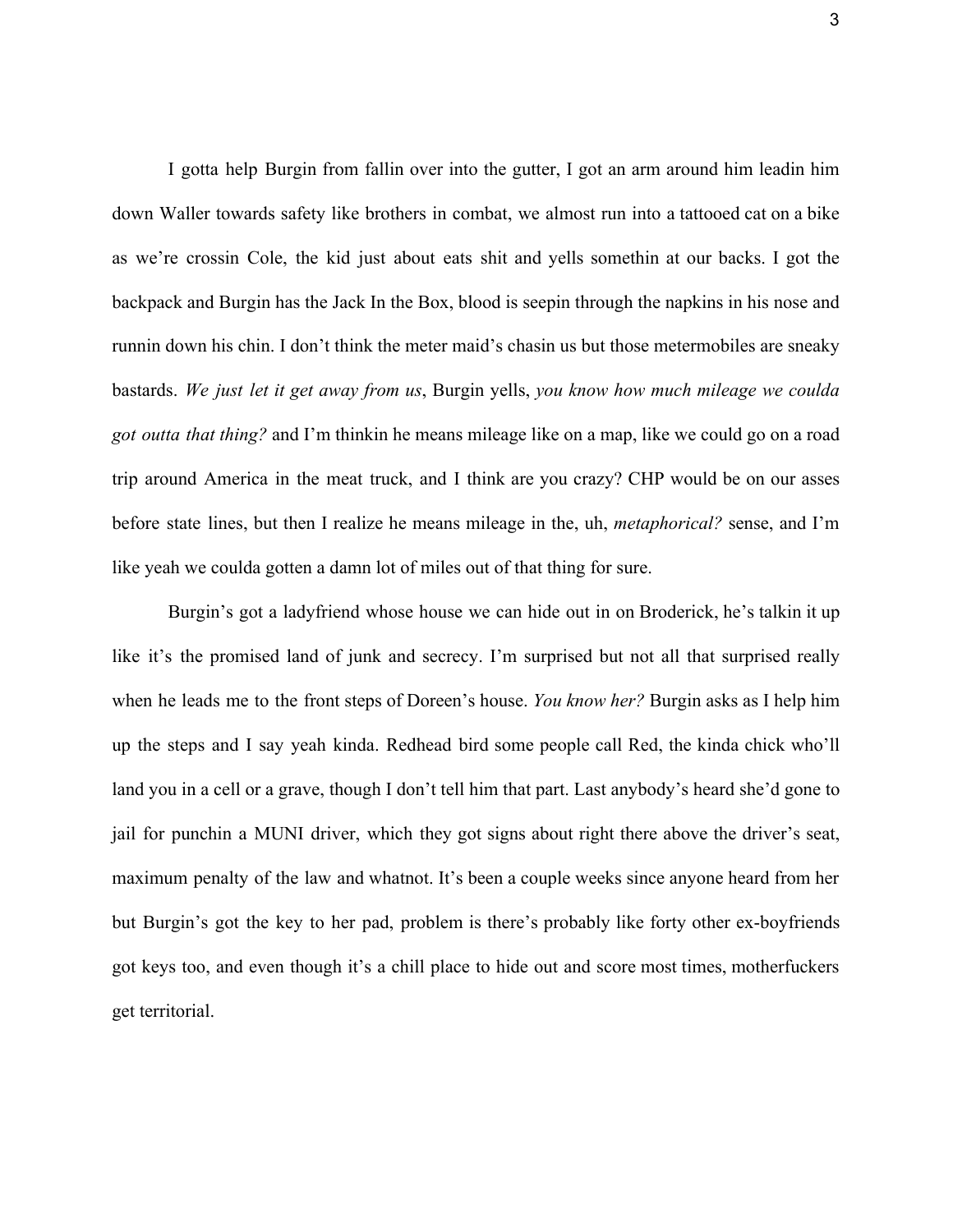I gotta help Burgin from fallin over into the gutter, I got an arm around him leadin him down Waller towards safety like brothers in combat, we almost run into a tattooed cat on a bike as we're crossin Cole, the kid just about eats shit and yells somethin at our backs. I got the backpack and Burgin has the Jack In the Box, blood is seepin through the napkins in his nose and runnin down his chin. I don't think the meter maid's chasin us but those metermobiles are sneaky bastards. *We just let it get away from us*, Burgin yells, *you know how much mileage we coulda got outta that thing?* and I'm thinkin he means mileage like on a map, like we could go on a road trip around America in the meat truck, and I think are you crazy? CHP would be on our asses before state lines, but then I realize he means mileage in the, uh, *metaphorical?* sense, and I'm like yeah we coulda gotten a damn lot of miles out of that thing for sure.

Burgin's got a ladyfriend whose house we can hide out in on Broderick, he's talkin it up like it's the promised land of junk and secrecy. I'm surprised but not all that surprised really when he leads me to the front steps of Doreen's house. *You know her?* Burgin asks as I help him up the steps and I say yeah kinda. Redhead bird some people call Red, the kinda chick who'll land you in a cell or a grave, though I don't tell him that part. Last anybody's heard she'd gone to jail for punchin a MUNI driver, which they got signs about right there above the driver's seat, maximum penalty of the law and whatnot. It's been a couple weeks since anyone heard from her but Burgin's got the key to her pad, problem is there's probably like forty other ex-boyfriends got keys too, and even though it's a chill place to hide out and score most times, motherfuckers get territorial.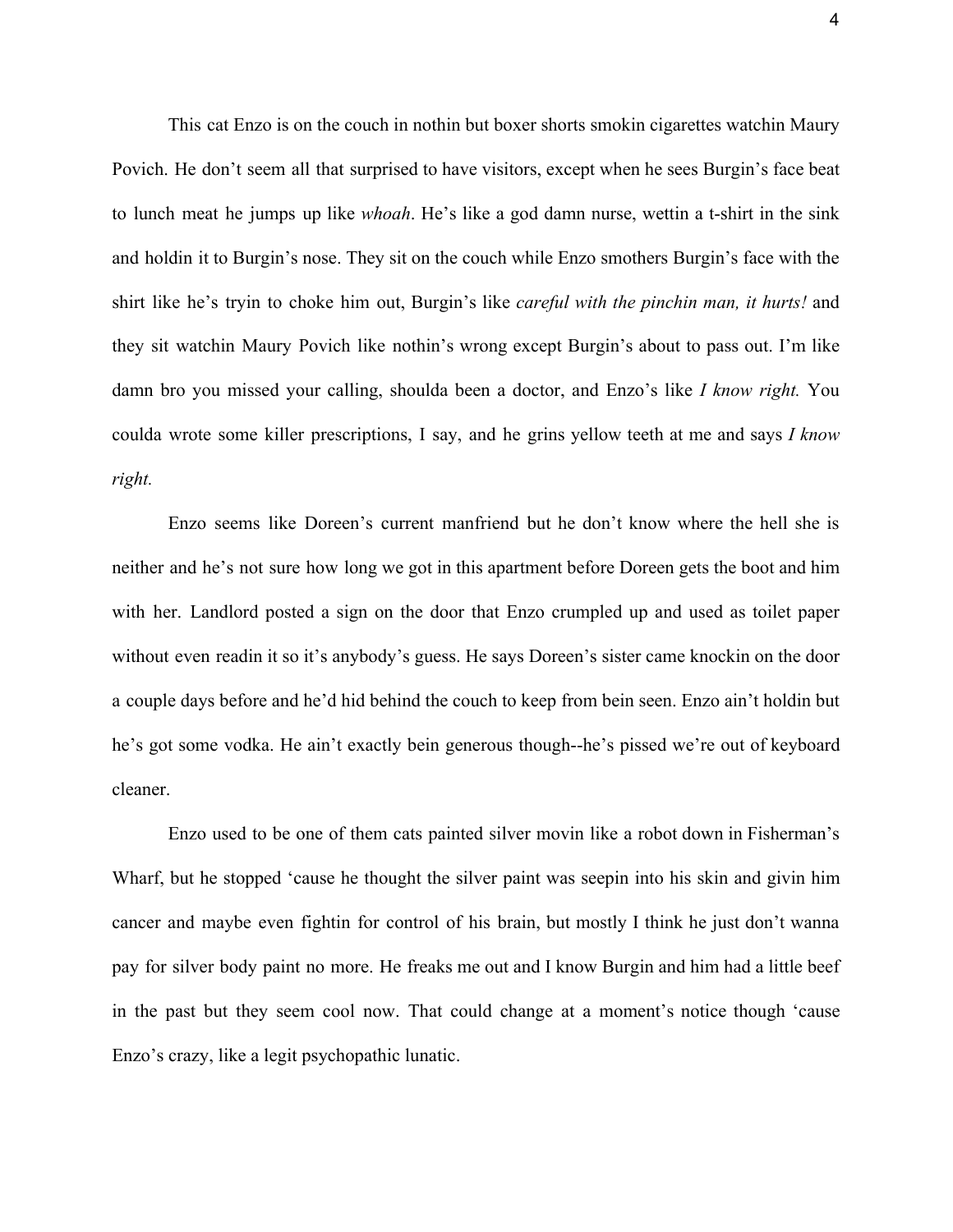This cat Enzo is on the couch in nothin but boxer shorts smokin cigarettes watchin Maury Povich. He don't seem all that surprised to have visitors, except when he sees Burgin's face beat to lunch meat he jumps up like *whoah*. He's like a god damn nurse, wettin a t-shirt in the sink and holdin it to Burgin's nose. They sit on the couch while Enzo smothers Burgin's face with the shirt like he's tryin to choke him out, Burgin's like *careful with the pinchin man, it hurts!* and they sit watchin Maury Povich like nothin's wrong except Burgin's about to pass out. I'm like damn bro you missed your calling, shoulda been a doctor, and Enzo's like *I know right.* You coulda wrote some killer prescriptions, I say, and he grins yellow teeth at me and says *I know right.*

Enzo seems like Doreen's current manfriend but he don't know where the hell she is neither and he's not sure how long we got in this apartment before Doreen gets the boot and him with her. Landlord posted a sign on the door that Enzo crumpled up and used as toilet paper without even readin it so it's anybody's guess. He says Doreen's sister came knockin on the door a couple days before and he'd hid behind the couch to keep from bein seen. Enzo ain't holdin but he's got some vodka. He ain't exactly bein generous though--he's pissed we're out of keyboard cleaner.

Enzo used to be one of them cats painted silver movin like a robot down in Fisherman's Wharf, but he stopped 'cause he thought the silver paint was seepin into his skin and givin him cancer and maybe even fightin for control of his brain, but mostly I think he just don't wanna pay for silver body paint no more. He freaks me out and I know Burgin and him had a little beef in the past but they seem cool now. That could change at a moment's notice though 'cause Enzo's crazy, like a legit psychopathic lunatic.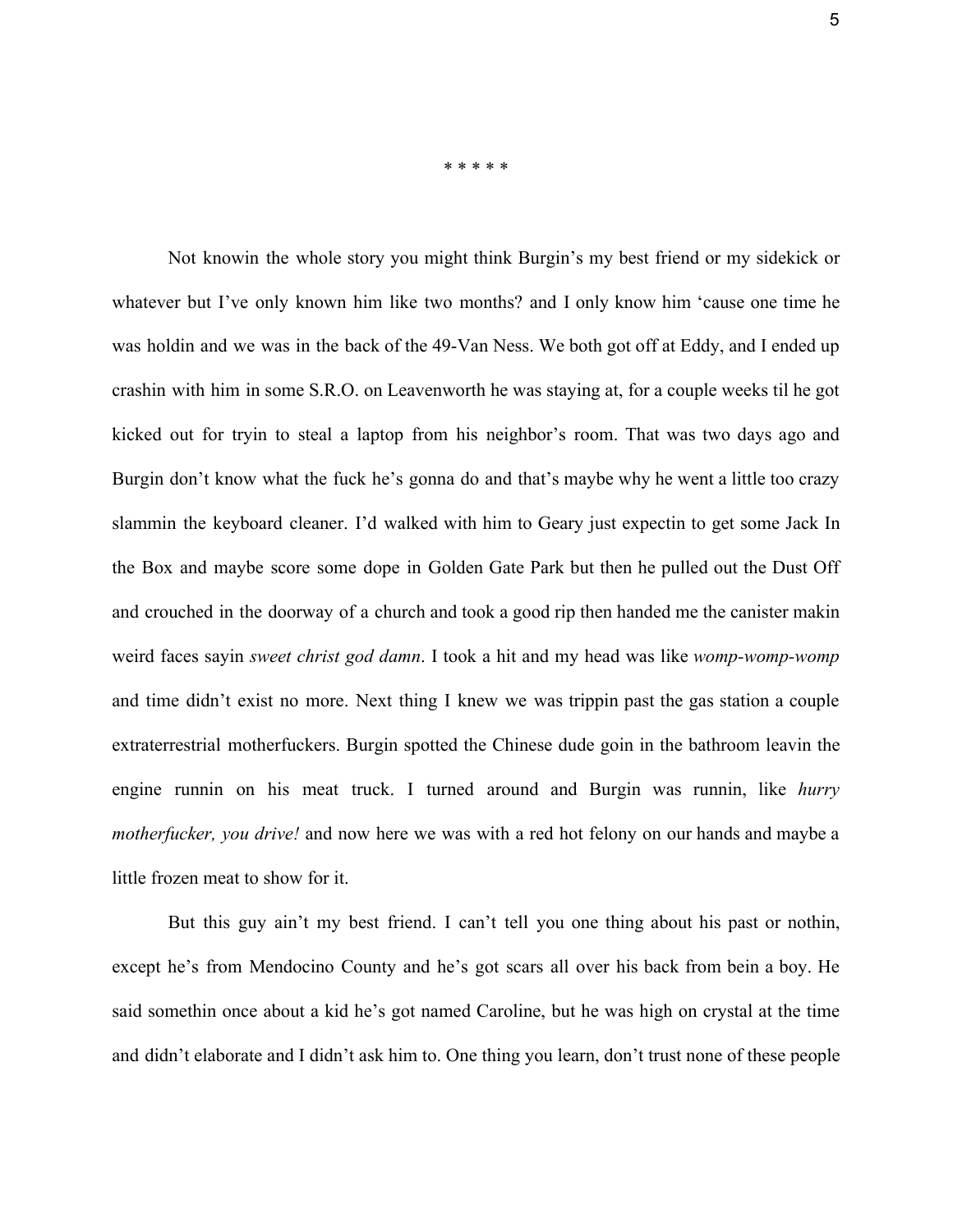\* \* \* \* \*

Not knowin the whole story you might think Burgin's my best friend or my sidekick or whatever but I've only known him like two months? and I only know him 'cause one time he was holdin and we was in the back of the 49-Van Ness. We both got off at Eddy, and I ended up crashin with him in some S.R.O. on Leavenworth he was staying at, for a couple weeks til he got kicked out for tryin to steal a laptop from his neighbor's room. That was two days ago and Burgin don't know what the fuck he's gonna do and that's maybe why he went a little too crazy slammin the keyboard cleaner. I'd walked with him to Geary just expectin to get some Jack In the Box and maybe score some dope in Golden Gate Park but then he pulled out the Dust Off and crouched in the doorway of a church and took a good rip then handed me the canister makin weird faces sayin *sweet christ god damn*. I took a hit and my head was like *womp-womp-womp* and time didn't exist no more. Next thing I knew we was trippin past the gas station a couple extraterrestrial motherfuckers. Burgin spotted the Chinese dude goin in the bathroom leavin the engine runnin on his meat truck. I turned around and Burgin was runnin, like *hurry motherfucker, you drive!* and now here we was with a red hot felony on our hands and maybe a little frozen meat to show for it.

But this guy ain't my best friend. I can't tell you one thing about his past or nothin, except he's from Mendocino County and he's got scars all over his back from bein a boy. He said somethin once about a kid he's got named Caroline, but he was high on crystal at the time and didn't elaborate and I didn't ask him to. One thing you learn, don't trust none of these people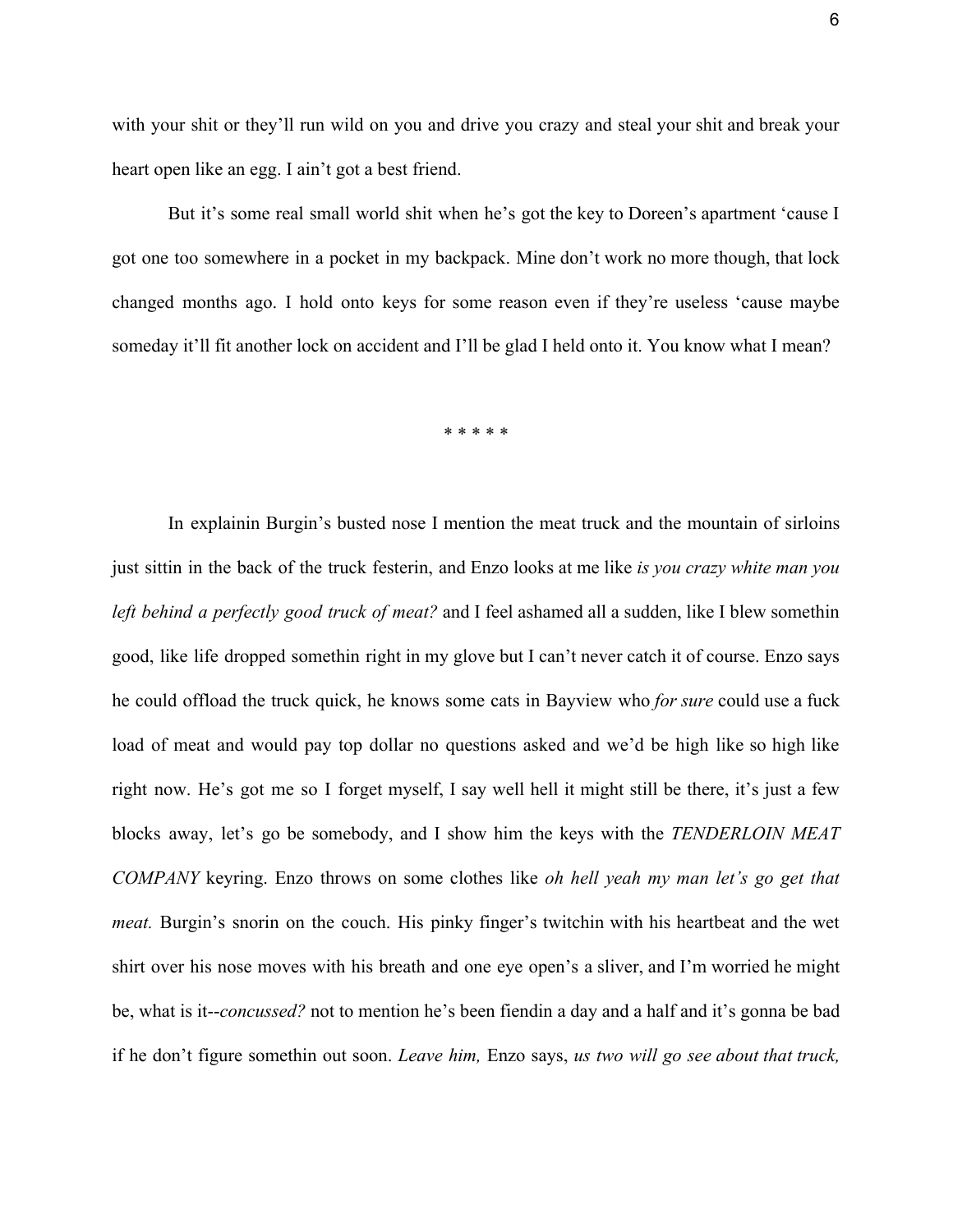with your shit or they'll run wild on you and drive you crazy and steal your shit and break your heart open like an egg. I ain't got a best friend.

But it's some real small world shit when he's got the key to Doreen's apartment 'cause I got one too somewhere in a pocket in my backpack. Mine don't work no more though, that lock changed months ago. I hold onto keys for some reason even if they're useless 'cause maybe someday it'll fit another lock on accident and I'll be glad I held onto it. You know what I mean?

\* \* \* \* \*

In explainin Burgin's busted nose I mention the meat truck and the mountain of sirloins just sittin in the back of the truck festerin, and Enzo looks at me like *is you crazy white man you left behind a perfectly good truck of meat?* and I feel ashamed all a sudden, like I blew somethin good, like life dropped somethin right in my glove but I can't never catch it of course. Enzo says he could offload the truck quick, he knows some cats in Bayview who *for sure* could use a fuck load of meat and would pay top dollar no questions asked and we'd be high like so high like right now. He's got me so I forget myself, I say well hell it might still be there, it's just a few blocks away, let's go be somebody, and I show him the keys with the *TENDERLOIN MEAT COMPANY* keyring. Enzo throws on some clothes like *oh hell yeah my man let's go get that meat.* Burgin's snorin on the couch. His pinky finger's twitchin with his heartbeat and the wet shirt over his nose moves with his breath and one eye open's a sliver, and I'm worried he might be, what is it--concussed? not to mention he's been fiendin a day and a half and it's gonna be bad if he don't figure somethin out soon. *Leave him,* Enzo says, *us two will go see about that truck,*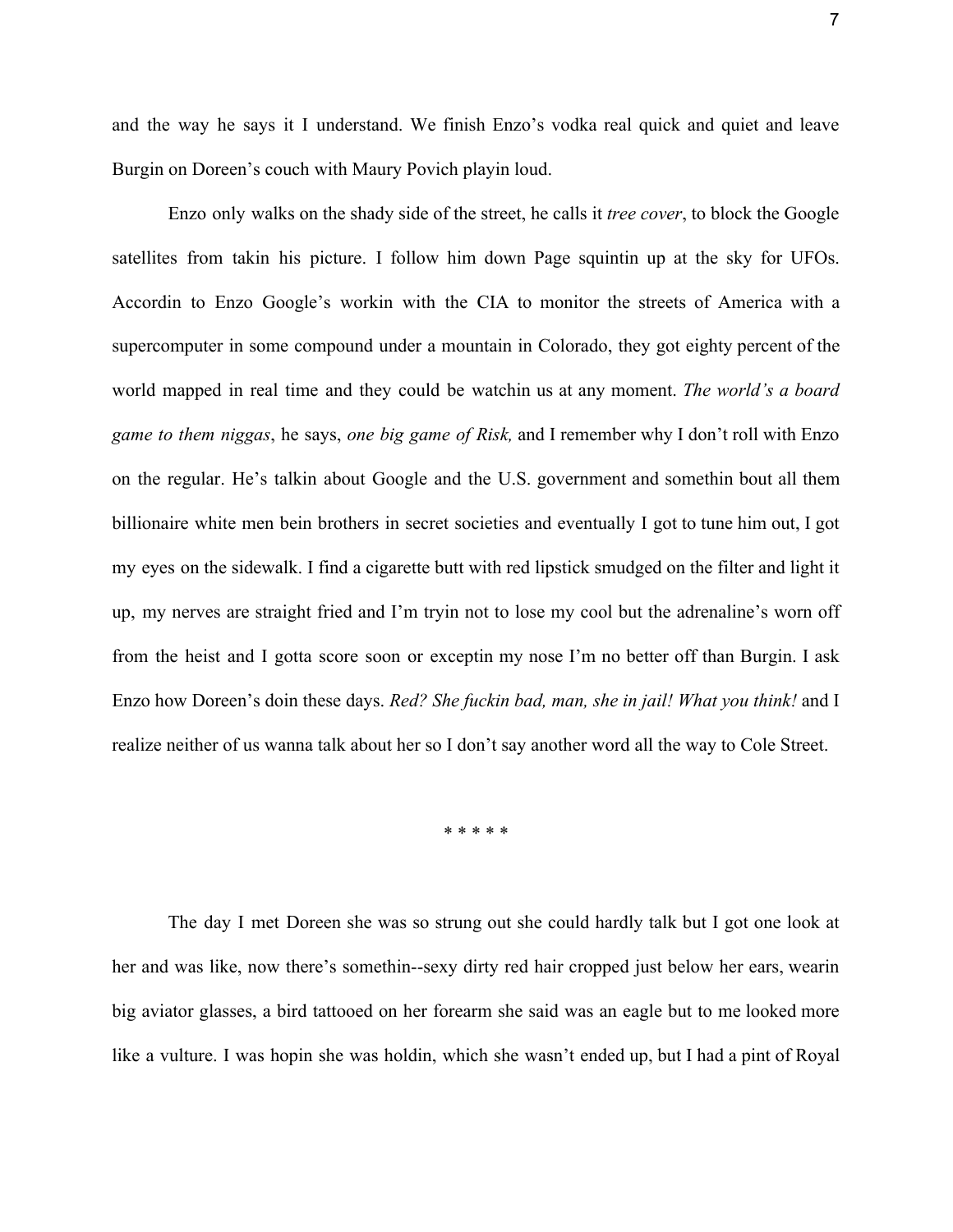and the way he says it I understand. We finish Enzo's vodka real quick and quiet and leave Burgin on Doreen's couch with Maury Povich playin loud.

Enzo only walks on the shady side of the street, he calls it *tree cover*, to block the Google satellites from takin his picture. I follow him down Page squintin up at the sky for UFOs. Accordin to Enzo Google's workin with the CIA to monitor the streets of America with a supercomputer in some compound under a mountain in Colorado, they got eighty percent of the world mapped in real time and they could be watchin us at any moment. *The world's a board game to them niggas*, he says, *one big game of Risk,* and I remember why I don't roll with Enzo on the regular. He's talkin about Google and the U.S. government and somethin bout all them billionaire white men bein brothers in secret societies and eventually I got to tune him out, I got my eyes on the sidewalk. I find a cigarette butt with red lipstick smudged on the filter and light it up, my nerves are straight fried and I'm tryin not to lose my cool but the adrenaline's worn off from the heist and I gotta score soon or exceptin my nose I'm no better off than Burgin. I ask Enzo how Doreen's doin these days. *Red? She fuckin bad, man, she in jail! What you think!* and I realize neither of us wanna talk about her so I don't say another word all the way to Cole Street.

\* \* \* \* \*

The day I met Doreen she was so strung out she could hardly talk but I got one look at her and was like, now there's somethin--sexy dirty red hair cropped just below her ears, wearin big aviator glasses, a bird tattooed on her forearm she said was an eagle but to me looked more like a vulture. I was hopin she was holdin, which she wasn't ended up, but I had a pint of Royal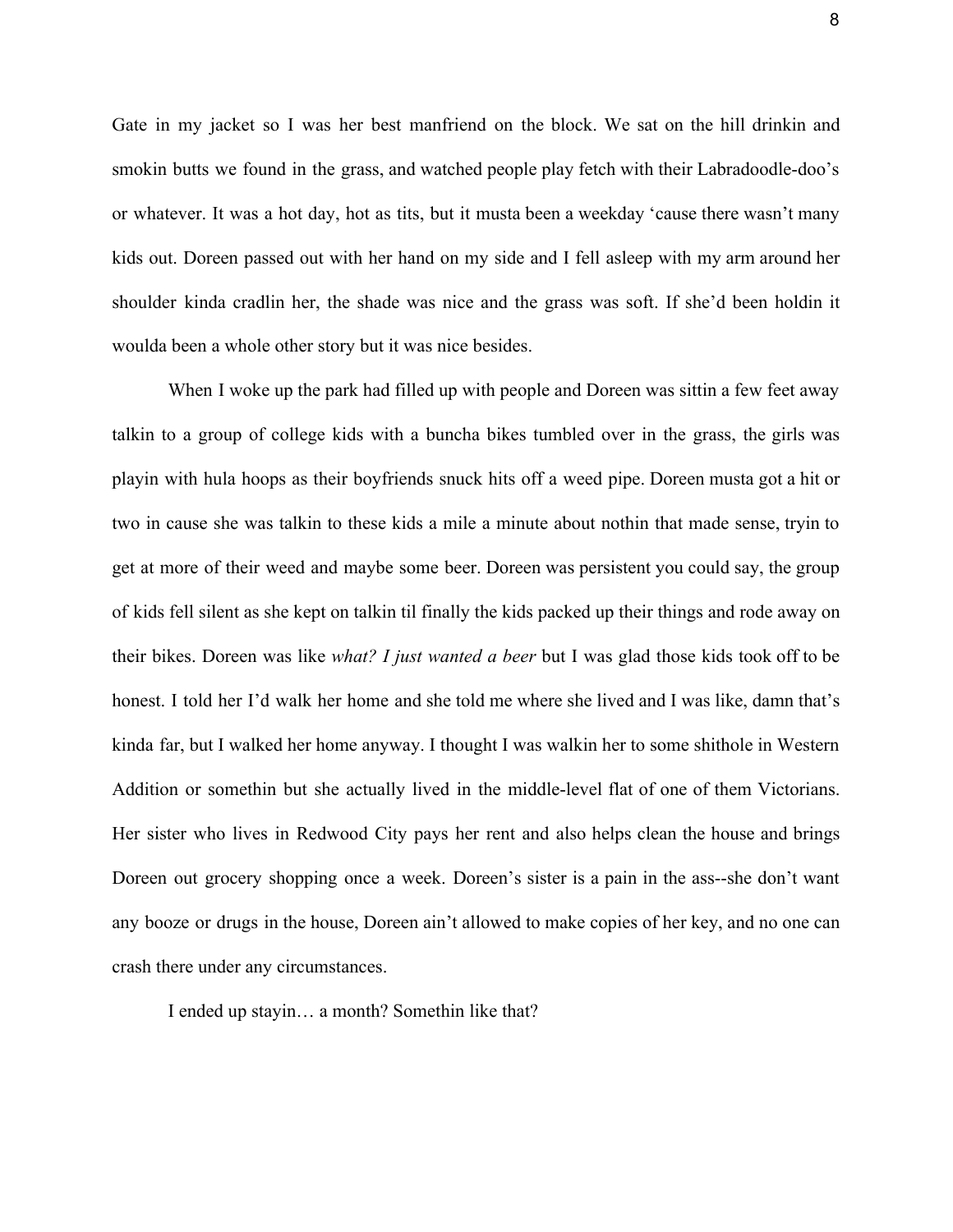Gate in my jacket so I was her best manfriend on the block. We sat on the hill drinkin and smokin butts we found in the grass, and watched people play fetch with their Labradoodle-doo's or whatever. It was a hot day, hot as tits, but it musta been a weekday 'cause there wasn't many kids out. Doreen passed out with her hand on my side and I fell asleep with my arm around her shoulder kinda cradlin her, the shade was nice and the grass was soft. If she'd been holdin it woulda been a whole other story but it was nice besides.

When I woke up the park had filled up with people and Doreen was sittin a few feet away talkin to a group of college kids with a buncha bikes tumbled over in the grass, the girls was playin with hula hoops as their boyfriends snuck hits off a weed pipe. Doreen musta got a hit or two in cause she was talkin to these kids a mile a minute about nothin that made sense, tryin to get at more of their weed and maybe some beer. Doreen was persistent you could say, the group of kids fell silent as she kept on talkin til finally the kids packed up their things and rode away on their bikes. Doreen was like *what? I just wanted a beer* but I was glad those kids took off to be honest. I told her I'd walk her home and she told me where she lived and I was like, damn that's kinda far, but I walked her home anyway. I thought I was walkin her to some shithole in Western Addition or somethin but she actually lived in the middle-level flat of one of them Victorians. Her sister who lives in Redwood City pays her rent and also helps clean the house and brings Doreen out grocery shopping once a week. Doreen's sister is a pain in the ass--she don't want any booze or drugs in the house, Doreen ain't allowed to make copies of her key, and no one can crash there under any circumstances.

I ended up stayin… a month? Somethin like that?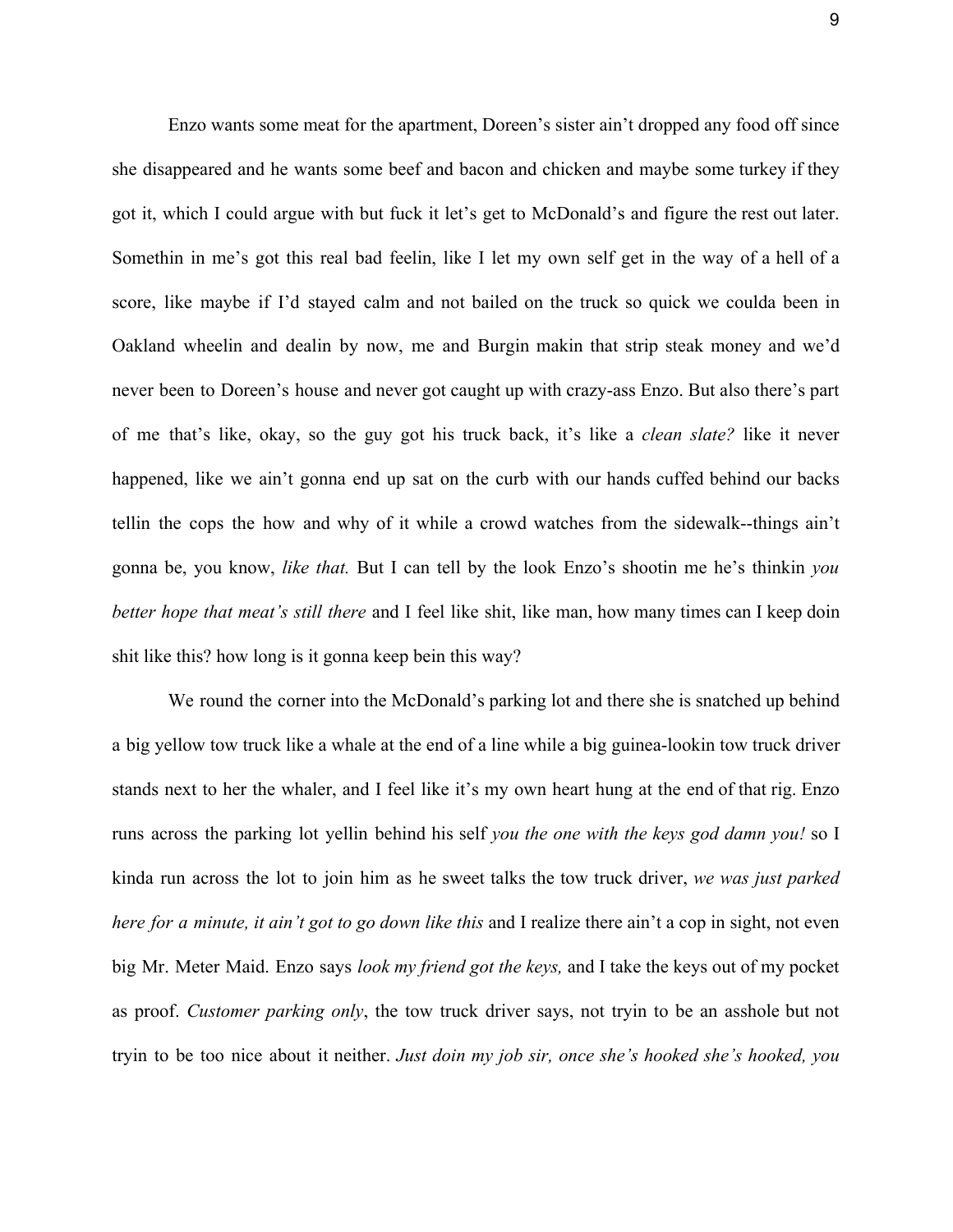Enzo wants some meat for the apartment, Doreen's sister ain't dropped any food off since she disappeared and he wants some beef and bacon and chicken and maybe some turkey if they got it, which I could argue with but fuck it let's get to McDonald's and figure the rest out later. Somethin in me's got this real bad feelin, like I let my own self get in the way of a hell of a score, like maybe if I'd stayed calm and not bailed on the truck so quick we coulda been in Oakland wheelin and dealin by now, me and Burgin makin that strip steak money and we'd never been to Doreen's house and never got caught up with crazy-ass Enzo. But also there's part of me that's like, okay, so the guy got his truck back, it's like a *clean slate?* like it never happened, like we ain't gonna end up sat on the curb with our hands cuffed behind our backs tellin the cops the how and why of it while a crowd watches from the sidewalk--things ain't gonna be, you know, *like that.* But I can tell by the look Enzo's shootin me he's thinkin *you better hope that meat's still there* and I feel like shit, like man, how many times can I keep doin shit like this? how long is it gonna keep bein this way?

We round the corner into the McDonald's parking lot and there she is snatched up behind a big yellow tow truck like a whale at the end of a line while a big guinea-lookin tow truck driver stands next to her the whaler, and I feel like it's my own heart hung at the end of that rig. Enzo runs across the parking lot yellin behind his self *you the one with the keys god damn you!* so I kinda run across the lot to join him as he sweet talks the tow truck driver, *we was just parked here for a minute, it ain't got to go down like this* and I realize there ain't a cop in sight, not even big Mr. Meter Maid. Enzo says *look my friend got the keys,* and I take the keys out of my pocket as proof. *Customer parking only*, the tow truck driver says, not tryin to be an asshole but not tryin to be too nice about it neither. *Just doin my job sir, once she's hooked she's hooked, you*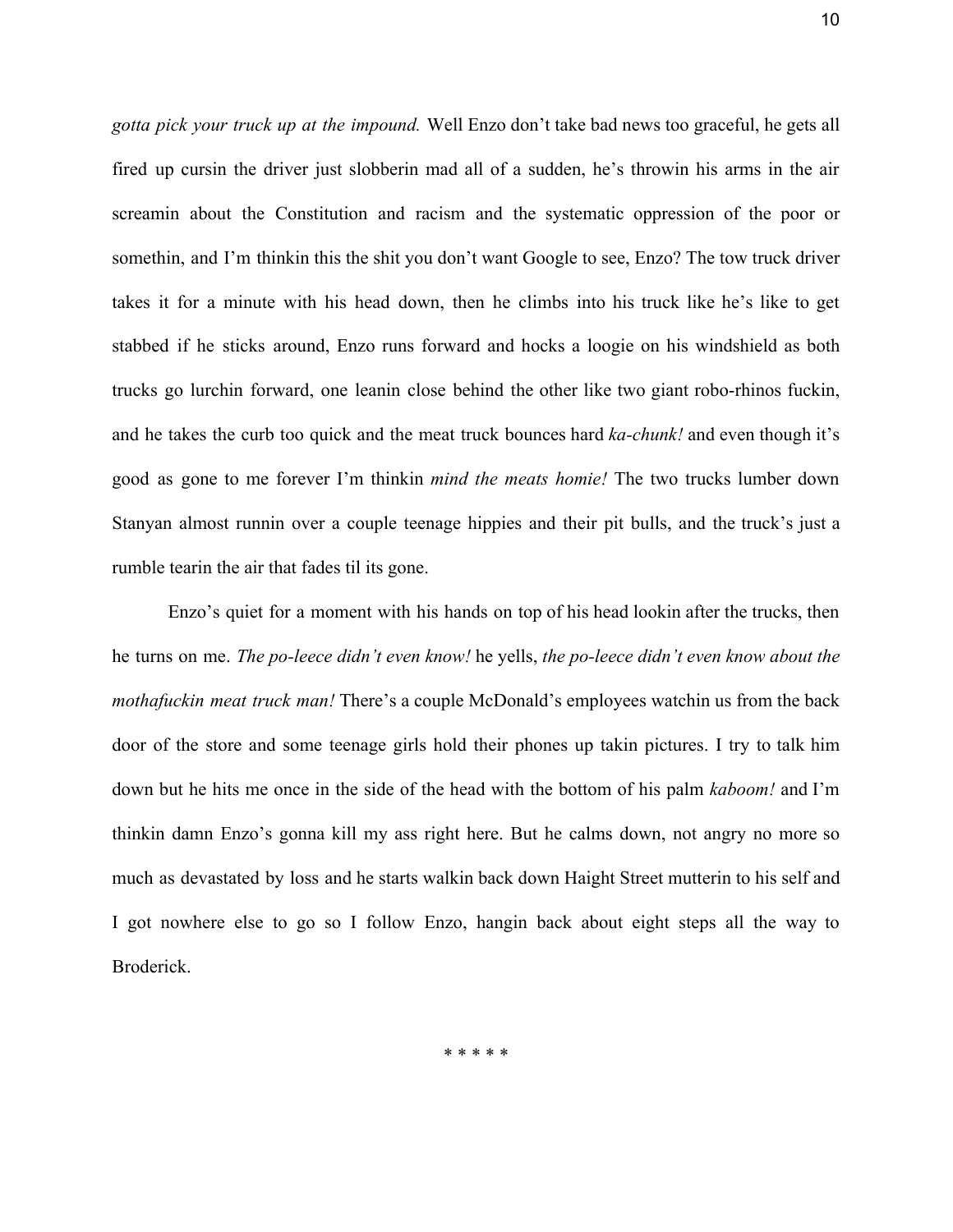*gotta pick your truck up at the impound.* Well Enzo don't take bad news too graceful, he gets all fired up cursin the driver just slobberin mad all of a sudden, he's throwin his arms in the air screamin about the Constitution and racism and the systematic oppression of the poor or somethin, and I'm thinkin this the shit you don't want Google to see, Enzo? The tow truck driver takes it for a minute with his head down, then he climbs into his truck like he's like to get stabbed if he sticks around, Enzo runs forward and hocks a loogie on his windshield as both trucks go lurchin forward, one leanin close behind the other like two giant robo-rhinos fuckin, and he takes the curb too quick and the meat truck bounces hard *ka-chunk!* and even though it's good as gone to me forever I'm thinkin *mind the meats homie!* The two trucks lumber down Stanyan almost runnin over a couple teenage hippies and their pit bulls, and the truck's just a rumble tearin the air that fades til its gone.

Enzo's quiet for a moment with his hands on top of his head lookin after the trucks, then he turns on me. *The poleece didn't even know!* he yells, *the poleece didn't even know about the mothafuckin meat truck man!* There's a couple McDonald's employees watchin us from the back door of the store and some teenage girls hold their phones up takin pictures. I try to talk him down but he hits me once in the side of the head with the bottom of his palm *kaboom!* and I'm thinkin damn Enzo's gonna kill my ass right here. But he calms down, not angry no more so much as devastated by loss and he starts walkin back down Haight Street mutterin to his self and I got nowhere else to go so I follow Enzo, hangin back about eight steps all the way to Broderick.

\* \* \* \* \*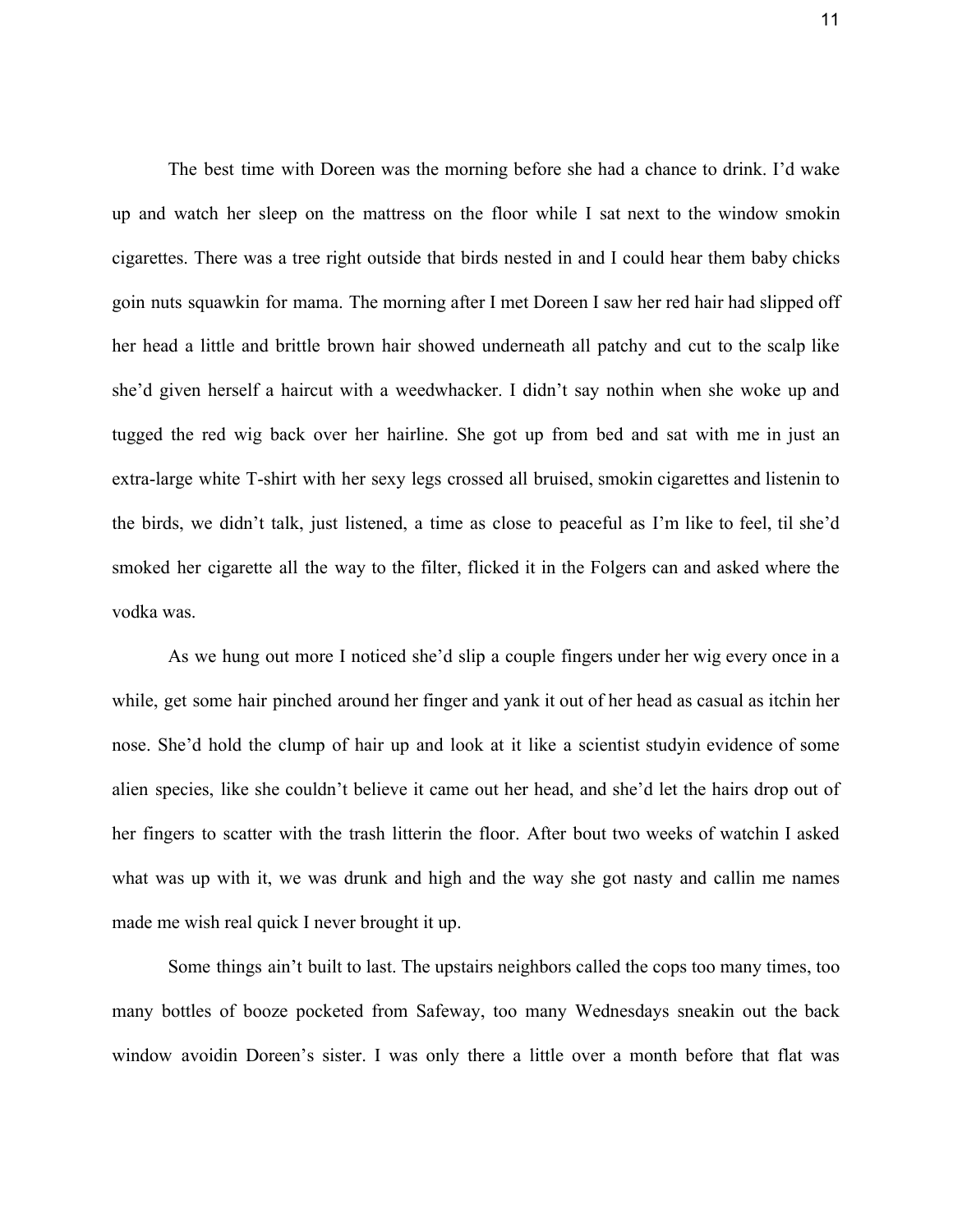The best time with Doreen was the morning before she had a chance to drink. I'd wake up and watch her sleep on the mattress on the floor while I sat next to the window smokin cigarettes. There was a tree right outside that birds nested in and I could hear them baby chicks goin nuts squawkin for mama. The morning after I met Doreen I saw her red hair had slipped off her head a little and brittle brown hair showed underneath all patchy and cut to the scalp like she'd given herself a haircut with a weedwhacker. I didn't say nothin when she woke up and tugged the red wig back over her hairline. She got up from bed and sat with me in just an extra-large white T-shirt with her sexy legs crossed all bruised, smokin cigarettes and listenin to the birds, we didn't talk, just listened, a time as close to peaceful as I'm like to feel, til she'd smoked her cigarette all the way to the filter, flicked it in the Folgers can and asked where the vodka was.

As we hung out more I noticed she'd slip a couple fingers under her wig every once in a while, get some hair pinched around her finger and yank it out of her head as casual as itchin her nose. She'd hold the clump of hair up and look at it like a scientist studyin evidence of some alien species, like she couldn't believe it came out her head, and she'd let the hairs drop out of her fingers to scatter with the trash litterin the floor. After bout two weeks of watchin I asked what was up with it, we was drunk and high and the way she got nasty and callin me names made me wish real quick I never brought it up.

Some things ain't built to last. The upstairs neighbors called the cops too many times, too many bottles of booze pocketed from Safeway, too many Wednesdays sneakin out the back window avoidin Doreen's sister. I was only there a little over a month before that flat was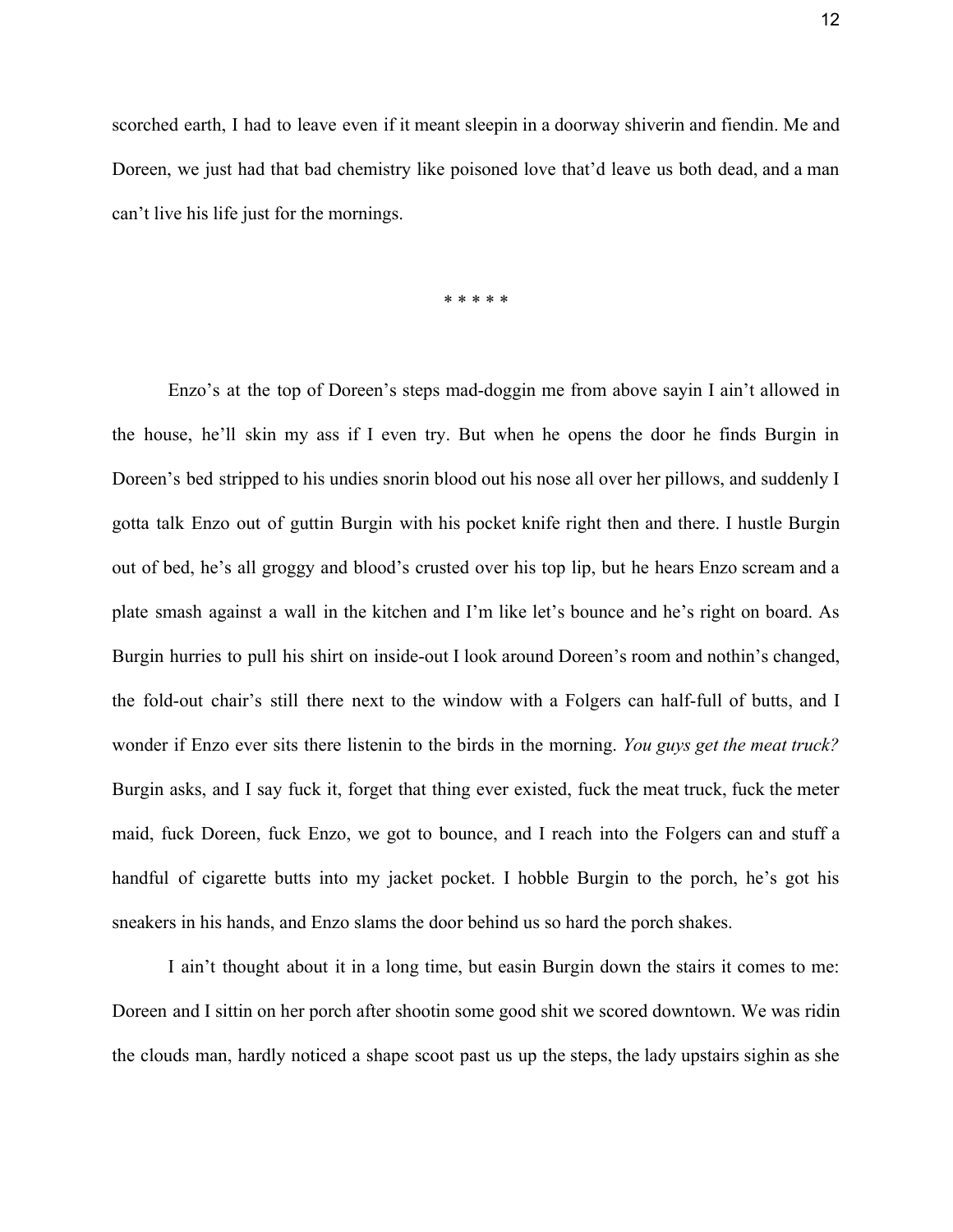scorched earth, I had to leave even if it meant sleepin in a doorway shiverin and fiendin. Me and Doreen, we just had that bad chemistry like poisoned love that'd leave us both dead, and a man can't live his life just for the mornings.

\* \* \* \* \*

Enzo's at the top of Doreen's steps mad-doggin me from above sayin I ain't allowed in the house, he'll skin my ass if I even try. But when he opens the door he finds Burgin in Doreen's bed stripped to his undies snorin blood out his nose all over her pillows, and suddenly I gotta talk Enzo out of guttin Burgin with his pocket knife right then and there. I hustle Burgin out of bed, he's all groggy and blood's crusted over his top lip, but he hears Enzo scream and a plate smash against a wall in the kitchen and I'm like let's bounce and he's right on board. As Burgin hurries to pull his shirt on inside-out I look around Doreen's room and nothin's changed, the fold-out chair's still there next to the window with a Folgers can half-full of butts, and I wonder if Enzo ever sits there listenin to the birds in the morning. *You guys get the meat truck?* Burgin asks, and I say fuck it, forget that thing ever existed, fuck the meat truck, fuck the meter maid, fuck Doreen, fuck Enzo, we got to bounce, and I reach into the Folgers can and stuff a handful of cigarette butts into my jacket pocket. I hobble Burgin to the porch, he's got his sneakers in his hands, and Enzo slams the door behind us so hard the porch shakes.

I ain't thought about it in a long time, but easin Burgin down the stairs it comes to me: Doreen and I sittin on her porch after shootin some good shit we scored downtown. We was ridin the clouds man, hardly noticed a shape scoot past us up the steps, the lady upstairs sighin as she